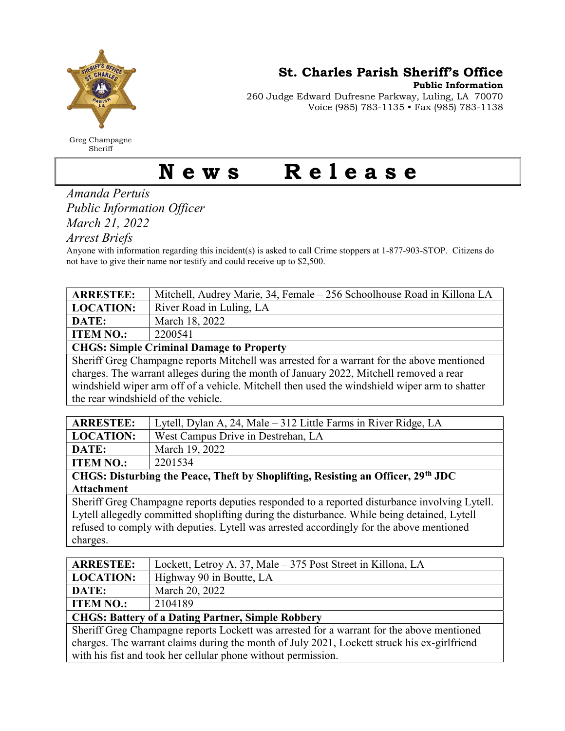

Greg Champagne Sheriff

St. Charles Parish Sheriff's Office

Public Information

260 Judge Edward Dufresne Parkway, Luling, LA 70070 Voice (985) 783-1135 • Fax (985) 783-1138

## News Release

Amanda Pertuis Public Information Officer March 21, 2022

Arrest Briefs

Anyone with information regarding this incident(s) is asked to call Crime stoppers at 1-877-903-STOP. Citizens do not have to give their name nor testify and could receive up to \$2,500.

| <b>ARRESTEE:</b>                                                                              | Mitchell, Audrey Marie, 34, Female - 256 Schoolhouse Road in Killona LA        |  |
|-----------------------------------------------------------------------------------------------|--------------------------------------------------------------------------------|--|
| <b>LOCATION:</b>                                                                              | River Road in Luling, LA                                                       |  |
| DATE:                                                                                         | March 18, 2022                                                                 |  |
| <b>ITEM NO.:</b>                                                                              | 2200541                                                                        |  |
| <b>CHGS: Simple Criminal Damage to Property</b>                                               |                                                                                |  |
| Sheriff Greg Champagne reports Mitchell was arrested for a warrant for the above mentioned    |                                                                                |  |
| charges. The warrant alleges during the month of January 2022, Mitchell removed a rear        |                                                                                |  |
| windshield wiper arm off of a vehicle. Mitchell then used the windshield wiper arm to shatter |                                                                                |  |
| the rear windshield of the vehicle.                                                           |                                                                                |  |
|                                                                                               |                                                                                |  |
| ADDRCTEE.                                                                                     | $I_{\text{total}}$ Delay A, 24, Mala , 212 Little Equipment Disparability I.A. |  |

| <b>ARRESTEE:</b>                                                                                    | Lytell, Dylan A, 24, Male – 312 Little Farms in River Ridge, LA |  |
|-----------------------------------------------------------------------------------------------------|-----------------------------------------------------------------|--|
| <b>LOCATION:</b>                                                                                    | West Campus Drive in Destrehan, LA                              |  |
| DATE:                                                                                               | March 19, 2022                                                  |  |
| <b>ITEM NO.:</b>                                                                                    | 2201534                                                         |  |
| $\mid$ CHGS: Disturbing the Peace, Theft by Shoplifting, Resisting an Officer, 29 <sup>th</sup> JDC |                                                                 |  |
| <b>Attachment</b>                                                                                   |                                                                 |  |
| Sheriff Greg Champagne reports deputies responded to a reported disturbance involving Lytell.       |                                                                 |  |

Lytell allegedly committed shoplifting during the disturbance. While being detained, Lytell refused to comply with deputies. Lytell was arrested accordingly for the above mentioned charges.

| <b>ARRESTEE:</b>                                                                            | Lockett, Letroy A, 37, Male – 375 Post Street in Killona, LA |  |
|---------------------------------------------------------------------------------------------|--------------------------------------------------------------|--|
| <b>LOCATION:</b>                                                                            | Highway 90 in Boutte, LA                                     |  |
| DATE:                                                                                       | March 20, 2022                                               |  |
| <b>ITEM NO.:</b>                                                                            | 2104189                                                      |  |
| <b>CHGS: Battery of a Dating Partner, Simple Robbery</b>                                    |                                                              |  |
| Sheriff Greg Champagne reports Lockett was arrested for a warrant for the above mentioned   |                                                              |  |
| charges. The warrant claims during the month of July 2021, Lockett struck his ex-girlfriend |                                                              |  |
| with his fist and took her cellular phone without permission.                               |                                                              |  |